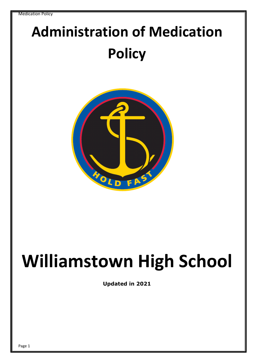## **Administration of Medication Policy**



# **Williamstown High School**

**Updated in 2021**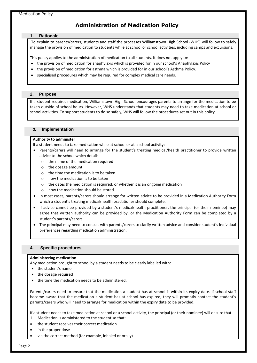## **Administration of Medication Policy**

#### **1. Rationale**

 To explain to parents/carers, students and staff the processes Williamstown High School (WHS) will follow to safely manage the provision of medication to students while at school or school activities, including camps and excursions.

This policy applies to the administration of medication to all students. It does not apply to:

- the provision of medication for anaphylaxis which is provided for in our school's Anaphylaxis Policy
- the provision of medication for asthma which is provided for in our school's Asthma Policy.
- specialised procedures which may be required for complex medical care needs.

#### **2. Purpose**

If a student requires medication, Williamstown High School encourages parents to arrange for the medication to be taken outside of school hours. However, WHS understands that students may need to take medication at school or school activities. To support students to do so safely, WHS will follow the procedures set out in this policy.

#### **3. Implementation**

#### **Authority to administer**

If a student needs to take medication while at school or at a school activity:

- Parents/carers will need to arrange for the student's treating medical/health practitioner to provide written advice to the school which details:
	- o the name of the medication required
	- o the dosage amount
	- $\circ$  the time the medication is to be taken
	- o how the medication is to be taken
	- o the dates the medication is required, or whether it is an ongoing medication
	- o how the medication should be stored.
- In most cases, parents/carers should arrange for written advice to be provided in a Medication Authority Form which a student's treating medical/health practitioner should complete.
- If advice cannot be provided by a student's medical/health practitioner, the principal (or their nominee) may agree that written authority can be provided by, or the Medication Authority Form can be completed by a student's parents/carers.
- The principal may need to consult with parents/carers to clarify written advice and consider student's individual preferences regarding medication administration.

#### **4. Specific procedures**

#### **Administering medication**

Any medication brought to school by a student needs to be clearly labelled with:

- the student's name
- the dosage required
- the time the medication needs to be administered.

Parents/carers need to ensure that the medication a student has at school is within its expiry date. If school staff become aware that the medication a student has at school has expired, they will promptly contact the student's parents/carers who will need to arrange for medication within the expiry date to be provided.

If a student needs to take medication at school or a school activity, the principal (or their nominee) will ensure that: 1. Medication is administered to the student so that:

- the student receives their correct medication
- in the proper dose
- via the correct method (for example, inhaled or orally)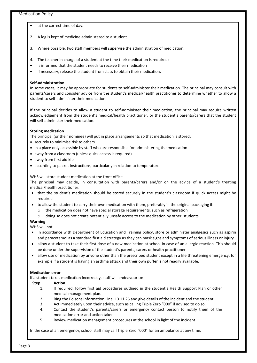#### Medication Policy

- at the correct time of day.
- 2. A log is kept of medicine administered to a student.
- 3. Where possible, two staff members will supervise the administration of medication.
- 4. The teacher in charge of a student at the time their medication is required:
- is informed that the student needs to receive their medication
- if necessary, release the student from class to obtain their medication.

#### **Self-administration**

In some cases, it may be appropriate for students to self-administer their medication. The principal may consult with parents/carers and consider advice from the student's medical/health practitioner to determine whether to allow a student to self-administer their medication.

If the principal decides to allow a student to self-administer their medication, the principal may require written acknowledgement from the student's medical/health practitioner, or the student's parents/carers that the student will self-administer their medication.

#### **Storing medication**

The principal (or their nominee) will put in place arrangements so that medication is stored:

- securely to minimise risk to others
- in a place only accessible by staff who are responsible for administering the medication
- away from a classroom (unless quick access is required)
- away from first aid kits
- according to packet instructions, particularly in relation to temperature.

WHS will store student medication at the front office.

The principal may decide, in consultation with parents/carers and/or on the advice of a student's treating medical/health practitioner:

- that the student's medication should be stored securely in the student's classroom if quick access might be required
- to allow the student to carry their own medication with them, preferably in the original packaging if:
	- $\circ$  the medication does not have special storage requirements, such as refrigeration
	- o doing so does not create potentially unsafe access to the medication by other students.

#### **Warning**

WHS will not:

- in accordance with Department of Education and Training policy, store or administer analgesics such as aspirin and paracetamol as a standard first aid strategy as they can mask signs and symptoms of serious illness or injury
- allow a student to take their first dose of a new medication at school in case of an allergic reaction. This should be done under the supervision of the student's parents, carers or health practitioner
- allow use of medication by anyone other than the prescribed student except in a life threatening emergency, for example if a student is having an asthma attack and their own puffer is not readily available.

#### **Medication error**

If a student takes medication incorrectly, staff will endeavour to:

#### **Step Action**

- 1. If required, follow first aid procedures outlined in the student's Health Support Plan or other medical management plan.
- 2. Ring the Poisons Information Line, 13 11 26 and give details of the incident and the student.
- 3. Act immediately upon their advice, such as calling Triple Zero "000" if advised to do so.
- 4. Contact the student's parents/carers or emergency contact person to notify them of the medication error and action taken.
- 5. Review medication management procedures at the school in light of the incident.

In the case of an emergency, school staff may call Triple Zero "000" for an ambulance at any time.